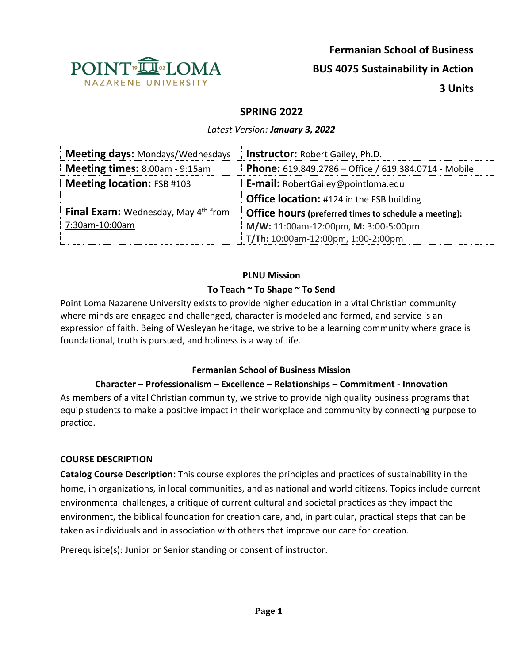

# **SPRING 2022**

*Latest Version: January 3, 2022*

| <b>Meeting days: Mondays/Wednesdays</b>                | <b>Instructor: Robert Gailey, Ph.D.</b>                     |
|--------------------------------------------------------|-------------------------------------------------------------|
| <b>Meeting times: 8:00am - 9:15am</b>                  | <b>Phone:</b> 619.849.2786 – Office / 619.384.0714 - Mobile |
| <b>Meeting location: FSB #103</b>                      | <b>E-mail:</b> RobertGailey@pointloma.edu                   |
|                                                        | <b>Office location:</b> #124 in the FSB building            |
| <b>Final Exam:</b> Wednesday, May 4 <sup>th</sup> from | Office hours (preferred times to schedule a meeting):       |
| 7:30am-10:00am                                         | M/W: 11:00am-12:00pm, M: 3:00-5:00pm                        |
|                                                        | T/Th: 10:00am-12:00pm, 1:00-2:00pm                          |

# **PLNU Mission**

# **To Teach ~ To Shape ~ To Send**

Point Loma Nazarene University exists to provide higher education in a vital Christian community where minds are engaged and challenged, character is modeled and formed, and service is an expression of faith. Being of Wesleyan heritage, we strive to be a learning community where grace is foundational, truth is pursued, and holiness is a way of life.

# **Fermanian School of Business Mission**

# **Character – Professionalism – Excellence – Relationships – Commitment - Innovation**

As members of a vital Christian community, we strive to provide high quality business programs that equip students to make a positive impact in their workplace and community by connecting purpose to practice.

#### **COURSE DESCRIPTION**

**Catalog Course Description:** This course explores the principles and practices of sustainability in the home, in organizations, in local communities, and as national and world citizens. Topics include current environmental challenges, a critique of current cultural and societal practices as they impact the environment, the biblical foundation for creation care, and, in particular, practical steps that can be taken as individuals and in association with others that improve our care for creation.

Prerequisite(s): Junior or Senior standing or consent of instructor.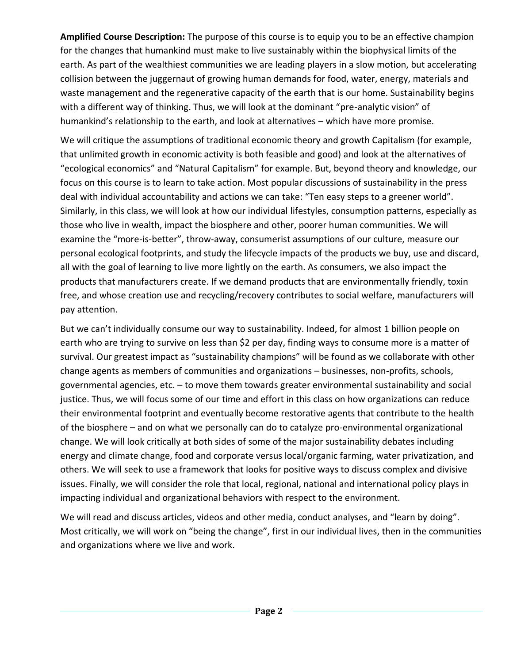**Amplified Course Description:** The purpose of this course is to equip you to be an effective champion for the changes that humankind must make to live sustainably within the biophysical limits of the earth. As part of the wealthiest communities we are leading players in a slow motion, but accelerating collision between the juggernaut of growing human demands for food, water, energy, materials and waste management and the regenerative capacity of the earth that is our home. Sustainability begins with a different way of thinking. Thus, we will look at the dominant "pre-analytic vision" of humankind's relationship to the earth, and look at alternatives – which have more promise.

We will critique the assumptions of traditional economic theory and growth Capitalism (for example, that unlimited growth in economic activity is both feasible and good) and look at the alternatives of "ecological economics" and "Natural Capitalism" for example. But, beyond theory and knowledge, our focus on this course is to learn to take action. Most popular discussions of sustainability in the press deal with individual accountability and actions we can take: "Ten easy steps to a greener world". Similarly, in this class, we will look at how our individual lifestyles, consumption patterns, especially as those who live in wealth, impact the biosphere and other, poorer human communities. We will examine the "more-is-better", throw-away, consumerist assumptions of our culture, measure our personal ecological footprints, and study the lifecycle impacts of the products we buy, use and discard, all with the goal of learning to live more lightly on the earth. As consumers, we also impact the products that manufacturers create. If we demand products that are environmentally friendly, toxin free, and whose creation use and recycling/recovery contributes to social welfare, manufacturers will pay attention.

But we can't individually consume our way to sustainability. Indeed, for almost 1 billion people on earth who are trying to survive on less than \$2 per day, finding ways to consume more is a matter of survival. Our greatest impact as "sustainability champions" will be found as we collaborate with other change agents as members of communities and organizations – businesses, non-profits, schools, governmental agencies, etc. – to move them towards greater environmental sustainability and social justice. Thus, we will focus some of our time and effort in this class on how organizations can reduce their environmental footprint and eventually become restorative agents that contribute to the health of the biosphere – and on what we personally can do to catalyze pro-environmental organizational change. We will look critically at both sides of some of the major sustainability debates including energy and climate change, food and corporate versus local/organic farming, water privatization, and others. We will seek to use a framework that looks for positive ways to discuss complex and divisive issues. Finally, we will consider the role that local, regional, national and international policy plays in impacting individual and organizational behaviors with respect to the environment.

We will read and discuss articles, videos and other media, conduct analyses, and "learn by doing". Most critically, we will work on "being the change", first in our individual lives, then in the communities and organizations where we live and work.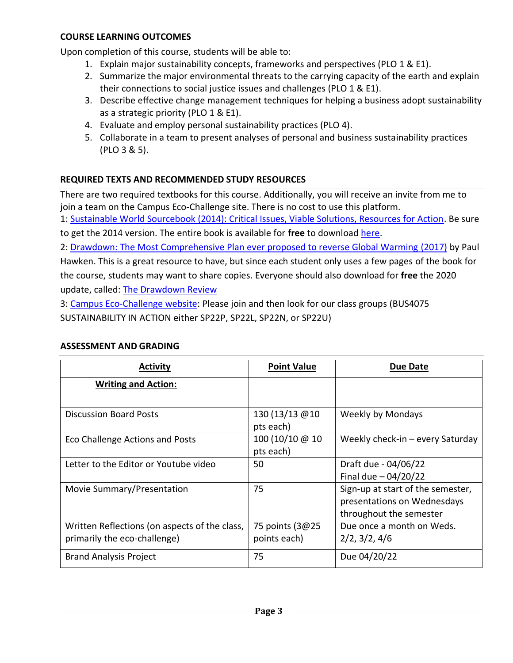Upon completion of this course, students will be able to:

- 1. Explain major sustainability concepts, frameworks and perspectives (PLO 1 & E1).
- 2. Summarize the major environmental threats to the carrying capacity of the earth and explain their connections to social justice issues and challenges (PLO 1 & E1).
- 3. Describe effective change management techniques for helping a business adopt sustainability as a strategic priority (PLO 1 & E1).
- 4. Evaluate and employ personal sustainability practices (PLO 4).
- 5. Collaborate in a team to present analyses of personal and business sustainability practices (PLO 3 & 5).

# **REQUIRED TEXTS AND RECOMMENDED STUDY RESOURCES**

There are two required textbooks for this course. Additionally, you will receive an invite from me to join a team on the Campus Eco-Challenge site. There is no cost to use this platform.

1: [Sustainable World Sourcebook \(2014\): Critical Issues, Viable Solutions, Resources for Action.](https://www.amazon.com/Sustainable-Sourcebook-Inspiring-Solutions-Resources/dp/0983830436/ref=sr_1_fkmr1_1?dchild=1&keywords=sustainable+world+sourcebook+2014&qid=1596934636&s=books&sr=1-1-fkmr1) Be sure to get the 2014 version. The entire book is available for **free** to download [here.](https://olyclimate.files.wordpress.com/2013/09/sustainable-world-sourcebook-2014.pdf)

2: [Drawdown: The Most Comprehensive Plan ever proposed to reverse Global Warming](https://www.amazon.com/Drawdown-Comprehensive-Proposed-Reverse-Warming/dp/0143130447) (2017) by Paul Hawken. This is a great resource to have, but since each student only uses a few pages of the book for the course, students may want to share copies. Everyone should also download for **free** the 2020 update, called: [The Drawdown Review](https://www.drawdown.org/drawdown-review)

3: [Campus Eco-Challenge website:](https://campus.ecochallenge.org/) Please join and then look for our class groups (BUS4075 SUSTAINABILITY IN ACTION either SP22P, SP22L, SP22N, or SP22U)

| <b>Activity</b>                                                               | <b>Point Value</b>               | Due Date                                                                                    |
|-------------------------------------------------------------------------------|----------------------------------|---------------------------------------------------------------------------------------------|
| <b>Writing and Action:</b>                                                    |                                  |                                                                                             |
| <b>Discussion Board Posts</b>                                                 | 130 (13/13 @10<br>pts each)      | Weekly by Mondays                                                                           |
| Eco Challenge Actions and Posts                                               | 100 (10/10 @ 10<br>pts each)     | Weekly check-in $-$ every Saturday                                                          |
| Letter to the Editor or Youtube video                                         | 50                               | Draft due - 04/06/22<br>Final due $-04/20/22$                                               |
| Movie Summary/Presentation                                                    | 75                               | Sign-up at start of the semester,<br>presentations on Wednesdays<br>throughout the semester |
| Written Reflections (on aspects of the class,<br>primarily the eco-challenge) | 75 points (3@25)<br>points each) | Due once a month on Weds.<br>2/2, 3/2, 4/6                                                  |
| <b>Brand Analysis Project</b>                                                 | 75                               | Due 04/20/22                                                                                |

# **ASSESSMENT AND GRADING**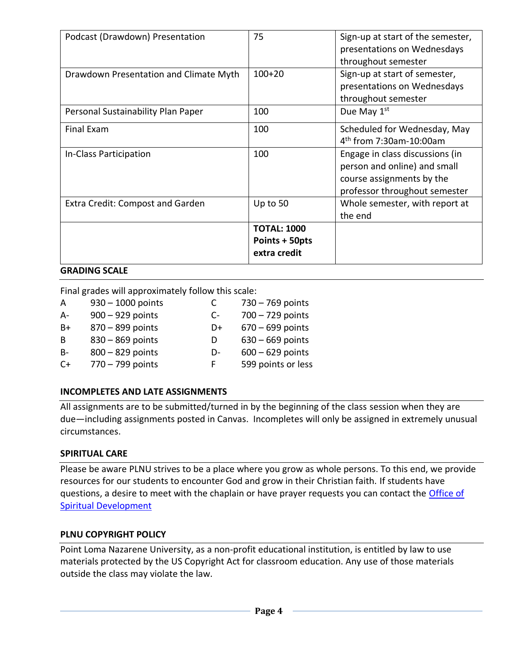| Podcast (Drawdown) Presentation        | 75                                                   | Sign-up at start of the semester,<br>presentations on Wednesdays<br>throughout semester                                       |
|----------------------------------------|------------------------------------------------------|-------------------------------------------------------------------------------------------------------------------------------|
| Drawdown Presentation and Climate Myth | $100+20$                                             | Sign-up at start of semester,<br>presentations on Wednesdays<br>throughout semester                                           |
| Personal Sustainability Plan Paper     | 100                                                  | Due May 1 <sup>st</sup>                                                                                                       |
| Final Exam                             | 100                                                  | Scheduled for Wednesday, May<br>4 <sup>th</sup> from 7:30am-10:00am                                                           |
| In-Class Participation                 | 100                                                  | Engage in class discussions (in<br>person and online) and small<br>course assignments by the<br>professor throughout semester |
| Extra Credit: Compost and Garden       | Up to 50                                             | Whole semester, with report at<br>the end                                                                                     |
|                                        | <b>TOTAL: 1000</b><br>Points + 50pts<br>extra credit |                                                                                                                               |

#### **GRADING SCALE**

Final grades will approximately follow this scale:

| A         | $930 - 1000$ points | C    | $730 - 769$ points |
|-----------|---------------------|------|--------------------|
| A-        | 900 - 929 points    | $C-$ | $700 - 729$ points |
| B+        | 870 - 899 points    | D+   | $670 - 699$ points |
| B         | 830 - 869 points    | D    | $630 - 669$ points |
| <b>B-</b> | 800 - 829 points    | D-   | $600 - 629$ points |
| $C+$      | 770 - 799 points    | F.   | 599 points or less |
|           |                     |      |                    |

# **INCOMPLETES AND LATE ASSIGNMENTS**

All assignments are to be submitted/turned in by the beginning of the class session when they are due—including assignments posted in Canvas. Incompletes will only be assigned in extremely unusual circumstances.

#### **SPIRITUAL CARE**

Please be aware PLNU strives to be a place where you grow as whole persons. To this end, we provide resources for our students to encounter God and grow in their Christian faith. If students have questions, a desire to meet with the chaplain or have prayer requests you can contact the Office of Spiritual Development

#### **PLNU COPYRIGHT POLICY**

Point Loma Nazarene University, as a non-profit educational institution, is entitled by law to use materials protected by the US Copyright Act for classroom education. Any use of those materials outside the class may violate the law.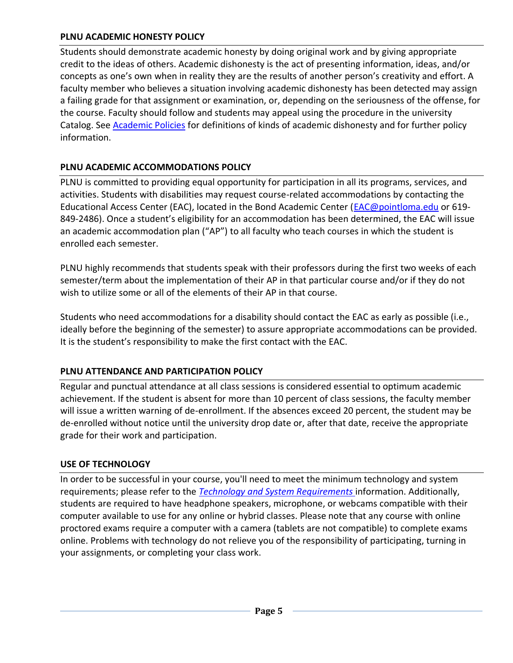#### **PLNU ACADEMIC HONESTY POLICY**

Students should demonstrate academic honesty by doing original work and by giving appropriate credit to the ideas of others. Academic dishonesty is the act of presenting information, ideas, and/or concepts as one's own when in reality they are the results of another person's creativity and effort. A faculty member who believes a situation involving academic dishonesty has been detected may assign a failing grade for that assignment or examination, or, depending on the seriousness of the offense, for the course. Faculty should follow and students may appeal using the procedure in the university Catalog. See [Academic Policies](https://catalog.pointloma.edu/content.php?catoid=52&navoid=2919#Academic_Honesty) for definitions of kinds of academic dishonesty and for further policy information.

# **PLNU ACADEMIC ACCOMMODATIONS POLICY**

PLNU is committed to providing equal opportunity for participation in all its programs, services, and activities. Students with disabilities may request course-related accommodations by contacting the Educational Access Center (EAC), located in the Bond Academic Center [\(EAC@pointloma.edu](mailto:EAC@pointloma.edu) or 619- 849-2486). Once a student's eligibility for an accommodation has been determined, the EAC will issue an academic accommodation plan ("AP") to all faculty who teach courses in which the student is enrolled each semester.

PLNU highly recommends that students speak with their professors during the first two weeks of each semester/term about the implementation of their AP in that particular course and/or if they do not wish to utilize some or all of the elements of their AP in that course.

Students who need accommodations for a disability should contact the EAC as early as possible (i.e., ideally before the beginning of the semester) to assure appropriate accommodations can be provided. It is the student's responsibility to make the first contact with the EAC.

# **PLNU ATTENDANCE AND PARTICIPATION POLICY**

Regular and punctual attendance at all class sessions is considered essential to optimum academic achievement. If the student is absent for more than 10 percent of class sessions, the faculty member will issue a written warning of de-enrollment. If the absences exceed 20 percent, the student may be de-enrolled without notice until the university drop date or, after that date, receive the appropriate grade for their work and participation.

# **USE OF TECHNOLOGY**

In order to be successful in your course, you'll need to meet the minimum technology and system requirements; please refer to the *[Technology and System Requirements](https://help.pointloma.edu/TDClient/1808/Portal/KB/ArticleDet?ID=108349)* information. Additionally, students are required to have headphone speakers, microphone, or webcams compatible with their computer available to use for any online or hybrid classes. Please note that any course with online proctored exams require a computer with a camera (tablets are not compatible) to complete exams online. Problems with technology do not relieve you of the responsibility of participating, turning in your assignments, or completing your class work.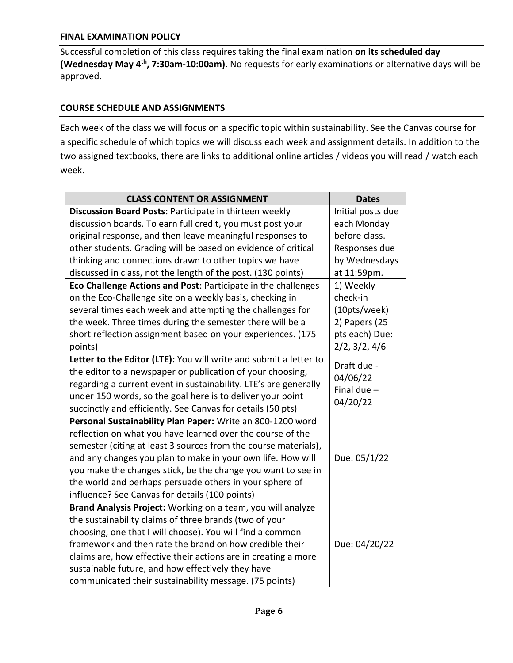#### **FINAL EXAMINATION POLICY**

Successful completion of this class requires taking the final examination **on its scheduled day (Wednesday May 4 th, 7:30am-10:00am)**. No requests for early examinations or alternative days will be approved.

#### **COURSE SCHEDULE AND ASSIGNMENTS**

Each week of the class we will focus on a specific topic within sustainability. See the Canvas course for a specific schedule of which topics we will discuss each week and assignment details. In addition to the two assigned textbooks, there are links to additional online articles / videos you will read / watch each week.

| <b>CLASS CONTENT OR ASSIGNMENT</b>                                | <b>Dates</b>      |
|-------------------------------------------------------------------|-------------------|
| Discussion Board Posts: Participate in thirteen weekly            | Initial posts due |
| discussion boards. To earn full credit, you must post your        | each Monday       |
| original response, and then leave meaningful responses to         | before class.     |
| other students. Grading will be based on evidence of critical     | Responses due     |
| thinking and connections drawn to other topics we have            | by Wednesdays     |
| discussed in class, not the length of the post. (130 points)      | at 11:59pm.       |
| Eco Challenge Actions and Post: Participate in the challenges     | 1) Weekly         |
| on the Eco-Challenge site on a weekly basis, checking in          | check-in          |
| several times each week and attempting the challenges for         | (10pts/week)      |
| the week. Three times during the semester there will be a         | 2) Papers (25     |
| short reflection assignment based on your experiences. (175       | pts each) Due:    |
| points)                                                           | 2/2, 3/2, 4/6     |
| Letter to the Editor (LTE): You will write and submit a letter to | Draft due -       |
| the editor to a newspaper or publication of your choosing,        | 04/06/22          |
| regarding a current event in sustainability. LTE's are generally  | Final due $-$     |
| under 150 words, so the goal here is to deliver your point        | 04/20/22          |
| succinctly and efficiently. See Canvas for details (50 pts)       |                   |
| Personal Sustainability Plan Paper: Write an 800-1200 word        |                   |
| reflection on what you have learned over the course of the        |                   |
| semester (citing at least 3 sources from the course materials),   |                   |
| and any changes you plan to make in your own life. How will       | Due: 05/1/22      |
| you make the changes stick, be the change you want to see in      |                   |
| the world and perhaps persuade others in your sphere of           |                   |
| influence? See Canvas for details (100 points)                    |                   |
| Brand Analysis Project: Working on a team, you will analyze       |                   |
| the sustainability claims of three brands (two of your            |                   |
| choosing, one that I will choose). You will find a common         |                   |
| framework and then rate the brand on how credible their           | Due: 04/20/22     |
| claims are, how effective their actions are in creating a more    |                   |
| sustainable future, and how effectively they have                 |                   |
| communicated their sustainability message. (75 points)            |                   |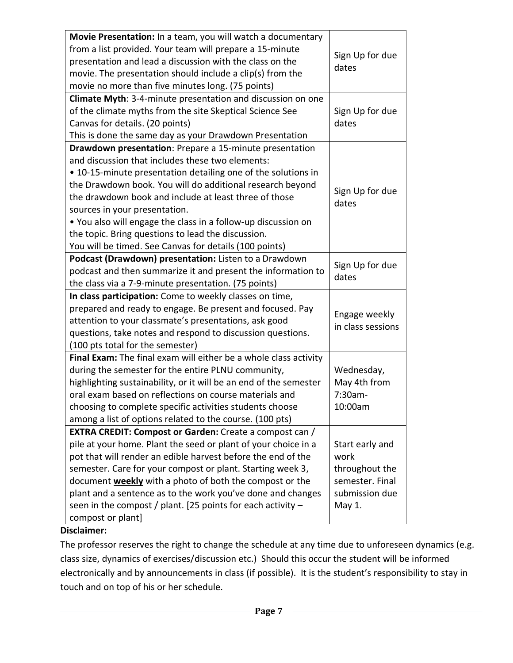| Movie Presentation: In a team, you will watch a documentary       |                   |
|-------------------------------------------------------------------|-------------------|
| from a list provided. Your team will prepare a 15-minute          |                   |
| presentation and lead a discussion with the class on the          | Sign Up for due   |
| movie. The presentation should include a clip(s) from the         | dates             |
| movie no more than five minutes long. (75 points)                 |                   |
| Climate Myth: 3-4-minute presentation and discussion on one       |                   |
| of the climate myths from the site Skeptical Science See          | Sign Up for due   |
| Canvas for details. (20 points)                                   | dates             |
| This is done the same day as your Drawdown Presentation           |                   |
| Drawdown presentation: Prepare a 15-minute presentation           |                   |
| and discussion that includes these two elements:                  |                   |
| • 10-15-minute presentation detailing one of the solutions in     |                   |
| the Drawdown book. You will do additional research beyond         |                   |
| the drawdown book and include at least three of those             | Sign Up for due   |
| sources in your presentation.                                     | dates             |
| • You also will engage the class in a follow-up discussion on     |                   |
| the topic. Bring questions to lead the discussion.                |                   |
| You will be timed. See Canvas for details (100 points)            |                   |
| Podcast (Drawdown) presentation: Listen to a Drawdown             |                   |
| podcast and then summarize it and present the information to      | Sign Up for due   |
| the class via a 7-9-minute presentation. (75 points)              | dates             |
| In class participation: Come to weekly classes on time,           |                   |
| prepared and ready to engage. Be present and focused. Pay         |                   |
| attention to your classmate's presentations, ask good             | Engage weekly     |
| questions, take notes and respond to discussion questions.        | in class sessions |
| (100 pts total for the semester)                                  |                   |
| Final Exam: The final exam will either be a whole class activity  |                   |
| during the semester for the entire PLNU community,                | Wednesday,        |
| highlighting sustainability, or it will be an end of the semester | May 4th from      |
| oral exam based on reflections on course materials and            | 7:30am-           |
| choosing to complete specific activities students choose          | 10:00am           |
| among a list of options related to the course. (100 pts)          |                   |
| <b>EXTRA CREDIT: Compost or Garden:</b> Create a compost can /    |                   |
| pile at your home. Plant the seed or plant of your choice in a    | Start early and   |
| pot that will render an edible harvest before the end of the      | work              |
| semester. Care for your compost or plant. Starting week 3,        | throughout the    |
| document weekly with a photo of both the compost or the           | semester. Final   |
| plant and a sentence as to the work you've done and changes       | submission due    |
| seen in the compost / plant. [25 points for each activity $-$     | May 1.            |
| compost or plant]                                                 |                   |

# **Disclaimer:**

The professor reserves the right to change the schedule at any time due to unforeseen dynamics (e.g. class size, dynamics of exercises/discussion etc.) Should this occur the student will be informed electronically and by announcements in class (if possible). It is the student's responsibility to stay in touch and on top of his or her schedule.